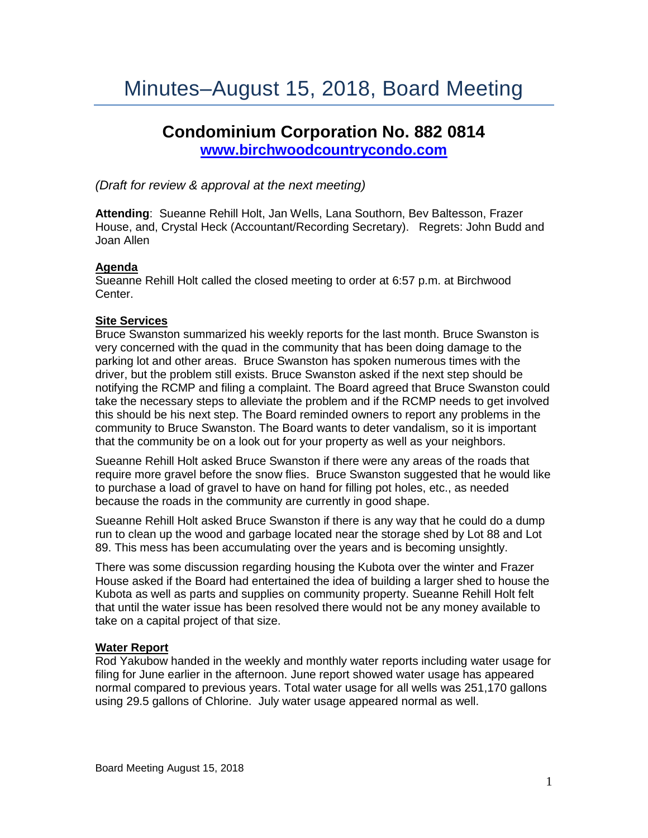# **Condominium Corporation No. 882 0814 [www.birchwoodcountrycondo.com](http://www.birchwoodcountrycondo.com/)**

*(Draft for review & approval at the next meeting)*

**Attending**: Sueanne Rehill Holt, Jan Wells, Lana Southorn, Bev Baltesson, Frazer House, and, Crystal Heck (Accountant/Recording Secretary). Regrets: John Budd and Joan Allen

## **Agenda**

Sueanne Rehill Holt called the closed meeting to order at 6:57 p.m. at Birchwood Center.

## **Site Services**

Bruce Swanston summarized his weekly reports for the last month. Bruce Swanston is very concerned with the quad in the community that has been doing damage to the parking lot and other areas. Bruce Swanston has spoken numerous times with the driver, but the problem still exists. Bruce Swanston asked if the next step should be notifying the RCMP and filing a complaint. The Board agreed that Bruce Swanston could take the necessary steps to alleviate the problem and if the RCMP needs to get involved this should be his next step. The Board reminded owners to report any problems in the community to Bruce Swanston. The Board wants to deter vandalism, so it is important that the community be on a look out for your property as well as your neighbors.

Sueanne Rehill Holt asked Bruce Swanston if there were any areas of the roads that require more gravel before the snow flies. Bruce Swanston suggested that he would like to purchase a load of gravel to have on hand for filling pot holes, etc., as needed because the roads in the community are currently in good shape.

Sueanne Rehill Holt asked Bruce Swanston if there is any way that he could do a dump run to clean up the wood and garbage located near the storage shed by Lot 88 and Lot 89. This mess has been accumulating over the years and is becoming unsightly.

There was some discussion regarding housing the Kubota over the winter and Frazer House asked if the Board had entertained the idea of building a larger shed to house the Kubota as well as parts and supplies on community property. Sueanne Rehill Holt felt that until the water issue has been resolved there would not be any money available to take on a capital project of that size.

# **Water Report**

Rod Yakubow handed in the weekly and monthly water reports including water usage for filing for June earlier in the afternoon. June report showed water usage has appeared normal compared to previous years. Total water usage for all wells was 251,170 gallons using 29.5 gallons of Chlorine. July water usage appeared normal as well.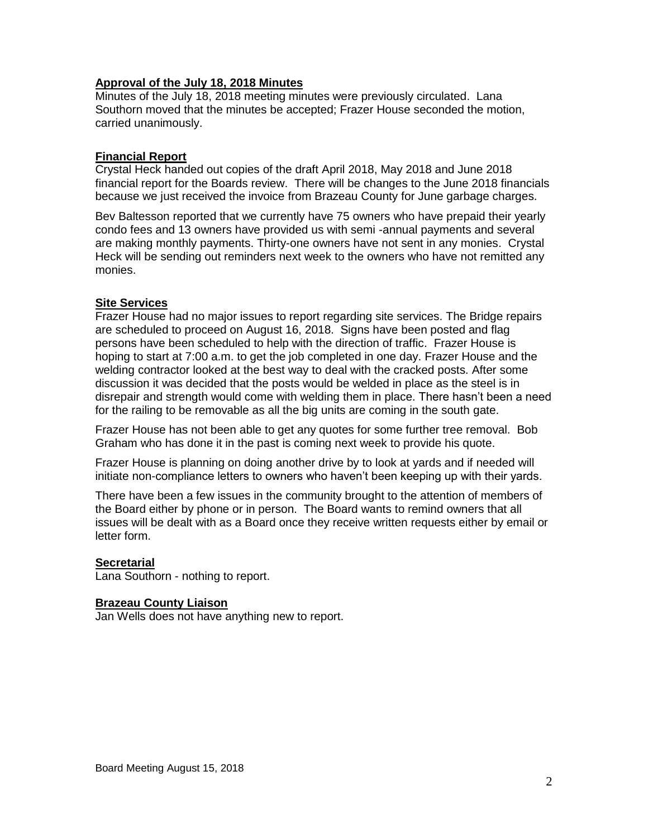## **Approval of the July 18, 2018 Minutes**

Minutes of the July 18, 2018 meeting minutes were previously circulated. Lana Southorn moved that the minutes be accepted; Frazer House seconded the motion, carried unanimously.

#### **Financial Report**

Crystal Heck handed out copies of the draft April 2018, May 2018 and June 2018 financial report for the Boards review. There will be changes to the June 2018 financials because we just received the invoice from Brazeau County for June garbage charges.

Bev Baltesson reported that we currently have 75 owners who have prepaid their yearly condo fees and 13 owners have provided us with semi -annual payments and several are making monthly payments. Thirty-one owners have not sent in any monies. Crystal Heck will be sending out reminders next week to the owners who have not remitted any monies.

## **Site Services**

Frazer House had no major issues to report regarding site services. The Bridge repairs are scheduled to proceed on August 16, 2018. Signs have been posted and flag persons have been scheduled to help with the direction of traffic. Frazer House is hoping to start at 7:00 a.m. to get the job completed in one day. Frazer House and the welding contractor looked at the best way to deal with the cracked posts. After some discussion it was decided that the posts would be welded in place as the steel is in disrepair and strength would come with welding them in place. There hasn't been a need for the railing to be removable as all the big units are coming in the south gate.

Frazer House has not been able to get any quotes for some further tree removal. Bob Graham who has done it in the past is coming next week to provide his quote.

Frazer House is planning on doing another drive by to look at yards and if needed will initiate non-compliance letters to owners who haven't been keeping up with their yards.

There have been a few issues in the community brought to the attention of members of the Board either by phone or in person. The Board wants to remind owners that all issues will be dealt with as a Board once they receive written requests either by email or letter form.

#### **Secretarial**

Lana Southorn - nothing to report.

#### **Brazeau County Liaison**

Jan Wells does not have anything new to report.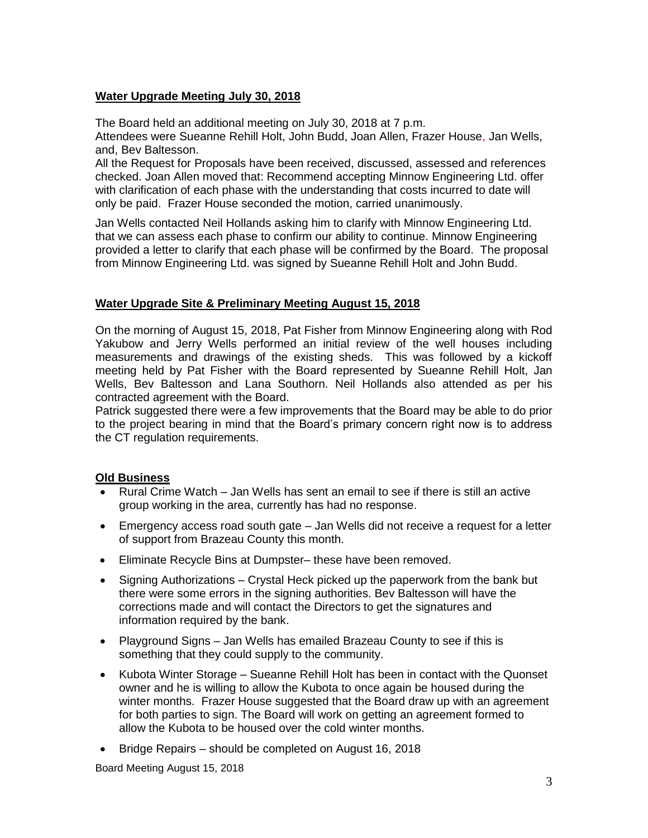## **Water Upgrade Meeting July 30, 2018**

The Board held an additional meeting on July 30, 2018 at 7 p.m.

Attendees were Sueanne Rehill Holt, John Budd, Joan Allen, Frazer House, Jan Wells, and, Bev Baltesson.

All the Request for Proposals have been received, discussed, assessed and references checked. Joan Allen moved that: Recommend accepting Minnow Engineering Ltd. offer with clarification of each phase with the understanding that costs incurred to date will only be paid. Frazer House seconded the motion, carried unanimously.

Jan Wells contacted Neil Hollands asking him to clarify with Minnow Engineering Ltd. that we can assess each phase to confirm our ability to continue. Minnow Engineering provided a letter to clarify that each phase will be confirmed by the Board. The proposal from Minnow Engineering Ltd. was signed by Sueanne Rehill Holt and John Budd.

## **Water Upgrade Site & Preliminary Meeting August 15, 2018**

On the morning of August 15, 2018, Pat Fisher from Minnow Engineering along with Rod Yakubow and Jerry Wells performed an initial review of the well houses including measurements and drawings of the existing sheds. This was followed by a kickoff meeting held by Pat Fisher with the Board represented by Sueanne Rehill Holt, Jan Wells, Bev Baltesson and Lana Southorn. Neil Hollands also attended as per his contracted agreement with the Board.

Patrick suggested there were a few improvements that the Board may be able to do prior to the project bearing in mind that the Board's primary concern right now is to address the CT regulation requirements.

## **Old Business**

- Rural Crime Watch Jan Wells has sent an email to see if there is still an active group working in the area, currently has had no response.
- Emergency access road south gate Jan Wells did not receive a request for a letter of support from Brazeau County this month.
- Eliminate Recycle Bins at Dumpster– these have been removed.
- Signing Authorizations Crystal Heck picked up the paperwork from the bank but there were some errors in the signing authorities. Bev Baltesson will have the corrections made and will contact the Directors to get the signatures and information required by the bank.
- Playground Signs Jan Wells has emailed Brazeau County to see if this is something that they could supply to the community.
- Kubota Winter Storage Sueanne Rehill Holt has been in contact with the Quonset owner and he is willing to allow the Kubota to once again be housed during the winter months. Frazer House suggested that the Board draw up with an agreement for both parties to sign. The Board will work on getting an agreement formed to allow the Kubota to be housed over the cold winter months.
- Bridge Repairs should be completed on August 16, 2018

Board Meeting August 15, 2018